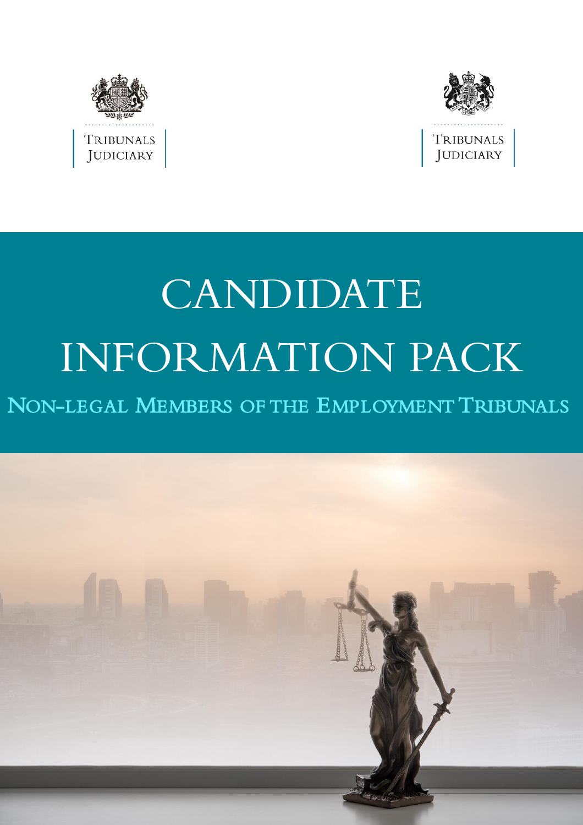



# CANDIDATE INFORMATION PACK

## NON-LEGAL MEMBERS OF THE EMPLOYMENT TRIBUNALS

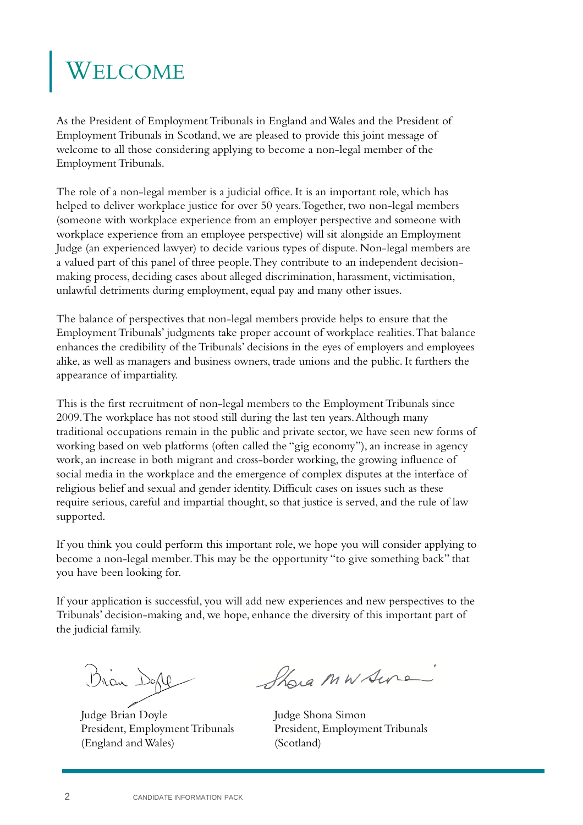## ELCOME

As the President of Employment Tribunals in England and Wales and the President of Employment Tribunals in Scotland, we are pleased to provide this joint message of welcome to all those considering applying to become a non-legal member of the Employment Tribunals.

The role of a non-legal member is a judicial office. It is an important role, which has helped to deliver workplace justice for over 50 years. Together, two non-legal members (someone with workplace experience from an employer perspective and someone with workplace experience from an employee perspective) will sit alongside an Employment Judge (an experienced lawyer) to decide various types of dispute. Non-legal members are a valued part of this panel of three people. They contribute to an independent decisionmaking process, deciding cases about alleged discrimination, harassment, victimisation, unlawful detriments during employment, equal pay and many other issues.

The balance of perspectives that non-legal members provide helps to ensure that the Employment Tribunals' judgments take proper account of workplace realities. That balance enhances the credibility of the Tribunals' decisions in the eyes of employers and employees alike, as well as managers and business owners, trade unions and the public. It furthers the appearance of impartiality.

This is the first recruitment of non-legal members to the Employment Tribunals since 2009. The workplace has not stood still during the last ten years. Although many traditional occupations remain in the public and private sector, we have seen new forms of working based on web platforms (often called the "gig economy"), an increase in agency work, an increase in both migrant and cross-border working, the growing influence of social media in the workplace and the emergence of complex disputes at the interface of religious belief and sexual and gender identity. Difficult cases on issues such as these require serious, careful and impartial thought, so that justice is served, and the rule of law supported.

If you think you could perform this important role, we hope you will consider applying to become a non-legal member. This may be the opportunity "to give something back" that you have been looking for.

If your application is successful, you will add new experiences and new perspectives to the Tribunals' decision-making and, we hope, enhance the diversity of this important part of the judicial family.

Bran Dople

Judge Brian Doyle President, Employment Tribunals (England and Wales)

Shora MW Sure

Judge Shona Simon President, Employment Tribunals (Scotland)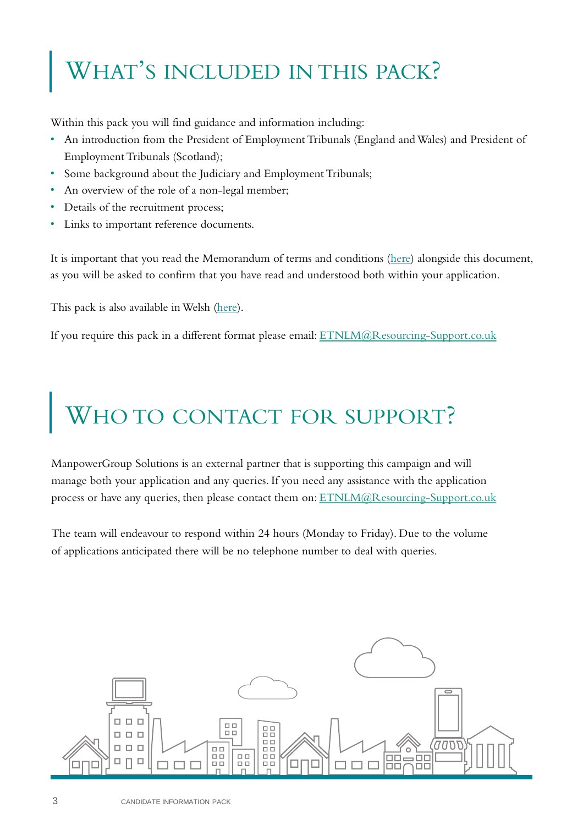## WHAT'S INCLUDED IN THIS PACK?

Within this pack you will find guidance and information including:

- An introduction from the President of Employment Tribunals (England and Wales) and President of Employment Tribunals (Scotland);
- Some background about the Judiciary and Employment Tribunals;
- An overview of the role of a non-legal member;
- Details of the recruitment process;
- Links to important reference documents.

It is important that you read the Memorandum of terms and conditions ([here](http://etnlm.resourcing-support.co.uk/)) alongside this document, as you will be asked to confirm that you have read and understood both within your application.

This pack is also available in Welsh ([here](http://etnlm.resourcing-support.co.uk/)).

If you require this pack in a different format please email: [ETNLM@Resourcing-Support.co.uk](mailto:ETNLM@Resourcing-Support.co.uk)

## WHO TO CONTACT FOR SUPPORT?

ManpowerGroup Solutions is an external partner that is supporting this campaign and will manage both your application and any queries. If you need any assistance with the application process or have any queries, then please contact them on: [ETNLM@Resourcing-Support.co.uk](mailto:ETNLM@Resourcing-Support.co.uk)

The team will endeavour to respond within 24 hours (Monday to Friday). Due to the volume of applications anticipated there will be no telephone number to deal with queries.

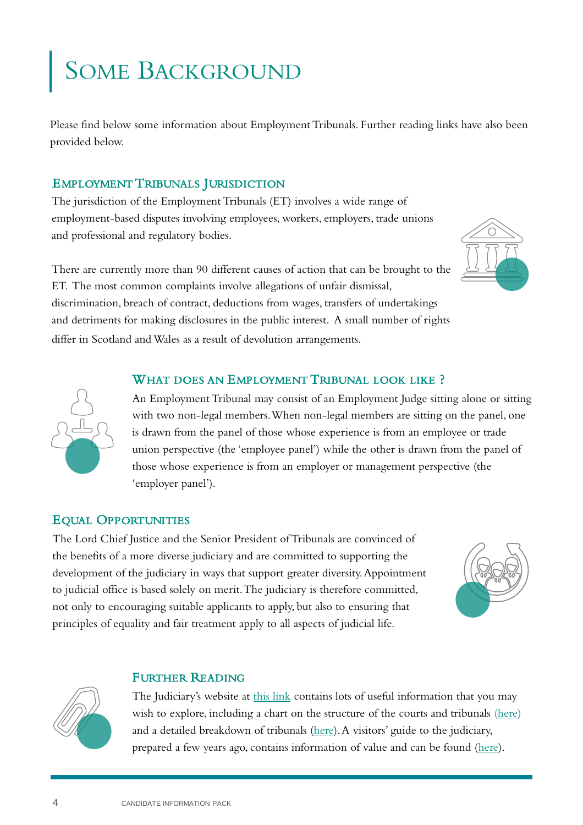## SOME BACKGROUND

Please find below some information about Employment Tribunals. Further reading links have also been provided below.

## EMPLOYMENT TRIBUNALS JURISDICTION

The jurisdiction of the Employment Tribunals (ET) involves a wide range of employment-based disputes involving employees, workers, employers, trade unions and professional and regulatory bodies.

There are currently more than 90 different causes of action that can be brought to the ET. The most common complaints involve allegations of unfair dismissal, discrimination, breach of contract, deductions from wages, transfers of undertakings and detriments for making disclosures in the public interest. A small number of rights differ in Scotland and Wales as a result of devolution arrangements.

## WHAT DOES AN EMPLOYMENT TRIBUNAL LOOK LIKE ?



An Employment Tribunal may consist of an Employment Judge sitting alone or sitting with two non-legal members. When non-legal members are sitting on the panel, one is drawn from the panel of those whose experience is from an employee or trade union perspective (the 'employee panel') while the other is drawn from the panel of those whose experience is from an employer or management perspective (the 'employer panel').

## EQUAL OPPORTUNITIES

The Lord Chief Justice and the Senior President of Tribunals are convinced of the benefits of a more diverse judiciary and are committed to supporting the development of the judiciary in ways that support greater diversity. Appointment to judicial office is based solely on merit. The judiciary is therefore committed, not only to encouraging suitable applicants to apply, but also to ensuring that principles of equality and fair treatment apply to all aspects of judicial life.



## FURTHER READING



The Judiciary's website at [this link](https://www.judiciary.uk/about-the-judiciary/) contains lots of useful information that you may wish to explore, including a chart on the structure of the courts and tribunals ([here](https://www.judiciary.uk/wp-content/uploads/2012/08/courts-structure-0715.pdf)) and a detailed breakdown of tribunals [\(here](https://www.judiciary.uk/wp-content/uploads/2012/05/tribunals-chart-050219.pdf)). A visitors' guide to the judiciary, prepared a few years ago, contains information of value and can be found ([here\)](https://www.judiciary.uk/wp-content/uploads/2016/05/international-visitors-guide-10a.pdf).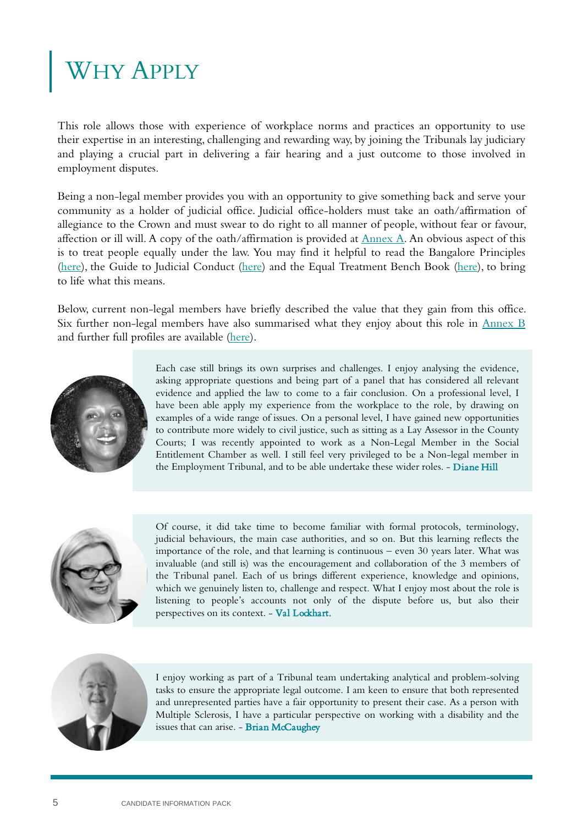## WHY APPLY

This role allows those with experience of workplace norms and practices an opportunity to use their expertise in an interesting, challenging and rewarding way, by joining the Tribunals lay judiciary and playing a crucial part in delivering a fair hearing and a just outcome to those involved in employment disputes.

Being a non-legal member provides you with an opportunity to give something back and serve your community as a holder of judicial office. Judicial office-holders must take an oath/affirmation of allegiance to the Crown and must swear to do right to all manner of people, without fear or favour, affection or ill will. A copy of the oath/affirmation is provided at  $\frac{Annex\ A}{A}$  $\frac{Annex\ A}{A}$  $\frac{Annex\ A}{A}$ . An obvious aspect of this is to treat people equally under the law. You may find it helpful to read the Bangalore Principles [\(here\)](https://www.unodc.org/pdf/crime/corruption/judicial_group/Bangalore_principles.pdf), the Guide to Judicial Conduct ([here\)](https://www.judiciary.uk/wp-content/uploads/2018/03/Guide-to-Judicial-Conduct-March-2019.pdf) and the Equal Treatment Bench Book ([here](https://www.judiciary.uk/wp-content/uploads/2018/02/ETBB-February-2018-amended-March-2019.pdf)), to bring to life what this means.

Below, current non-legal members have briefly described the value that they gain from this office. Six further non-legal members have also summarised what they enjoy about this role in [Annex](#page-25-0) B and further full profiles are available (<here>).



Each case still brings its own surprises and challenges. I enjoy analysing the evidence, asking appropriate questions and being part of a panel that has considered all relevant evidence and applied the law to come to a fair conclusion. On a professional level, I have been able apply my experience from the workplace to the role, by drawing on examples of a wide range of issues. On a personal level, I have gained new opportunities to contribute more widely to civil justice, such as sitting as a Lay Assessor in the County Courts; I was recently appointed to work as a Non-Legal Member in the Social Entitlement Chamber as well. I still feel very privileged to be a Non-legal member in the Employment Tribunal, and to be able undertake these wider roles. - Diane Hill



Of course, it did take time to become familiar with formal protocols, terminology, judicial behaviours, the main case authorities, and so on. But this learning reflects the importance of the role, and that learning is continuous – even 30 years later. What was invaluable (and still is) was the encouragement and collaboration of the 3 members of the Tribunal panel. Each of us brings different experience, knowledge and opinions, which we genuinely listen to, challenge and respect. What I enjoy most about the role is listening to people's accounts not only of the dispute before us, but also their perspectives on its context. - Val Lockhart.



I enjoy working as part of a Tribunal team undertaking analytical and problem-solving tasks to ensure the appropriate legal outcome. I am keen to ensure that both represented and unrepresented parties have a fair opportunity to present their case. As a person with Multiple Sclerosis, I have a particular perspective on working with a disability and the issues that can arise. - Brian McCaughey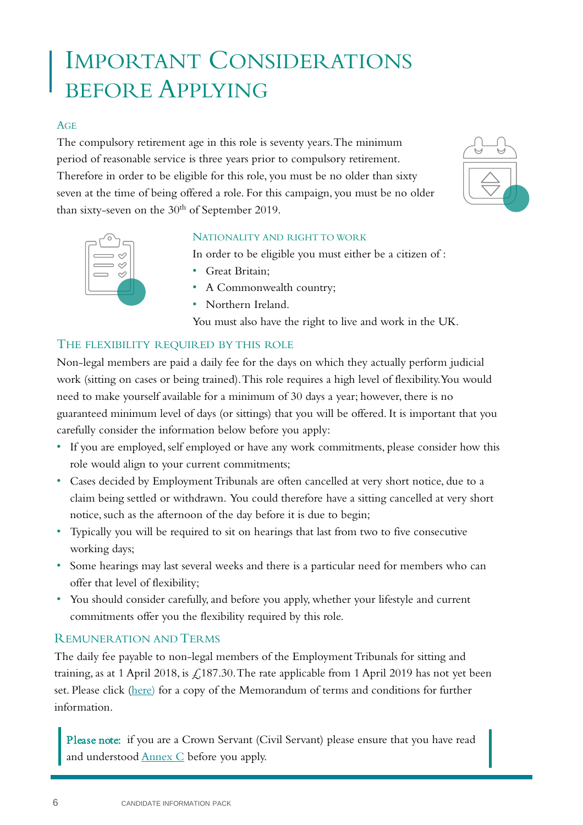## IMPORTANT CONSIDERATIONS BEFORE APPLYING

### AGE

The compulsory retirement age in this role is seventy years. The minimum period of reasonable service is three years prior to compulsory retirement. Therefore in order to be eligible for this role, you must be no older than sixty seven at the time of being offered a role. For this campaign, you must be no older than sixty-seven on the 30<sup>th</sup> of September 2019.





### NATIONALITY AND RIGHT TO WORK

In order to be eligible you must either be a citizen of :

- Great Britain;
- A Commonwealth country;
- Northern Ireland.

You must also have the right to live and work in the UK.

## THE FLEXIBILITY REQUIRED BY THIS ROLE

Non-legal members are paid a daily fee for the days on which they actually perform judicial work (sitting on cases or being trained). This role requires a high level of flexibility. You would need to make yourself available for a minimum of 30 days a year; however, there is no guaranteed minimum level of days (or sittings) that you will be offered. It is important that you carefully consider the information below before you apply:

- If you are employed, self employed or have any work commitments, please consider how this role would align to your current commitments;
- Cases decided by Employment Tribunals are often cancelled at very short notice, due to a claim being settled or withdrawn. You could therefore have a sitting cancelled at very short notice, such as the afternoon of the day before it is due to begin;
- Typically you will be required to sit on hearings that last from two to five consecutive working days;
- Some hearings may last several weeks and there is a particular need for members who can offer that level of flexibility;
- You should consider carefully, and before you apply, whether your lifestyle and current commitments offer you the flexibility required by this role.

## REMUNERATION AND TERMS

The daily fee payable to non-legal members of the Employment Tribunals for sitting and training, as at 1 April 2018, is  $\text{\textsterling}187.30$ . The rate applicable from 1 April 2019 has not yet been set. Please click [\(here\)](http://etnlm.resourcing-support.co.uk/) for a copy of the Memorandum of terms and conditions for further information.

Please note: if you are a Crown Servant (Civil Servant) please ensure that you have read and understood [Annex C](#page-26-0) before you apply.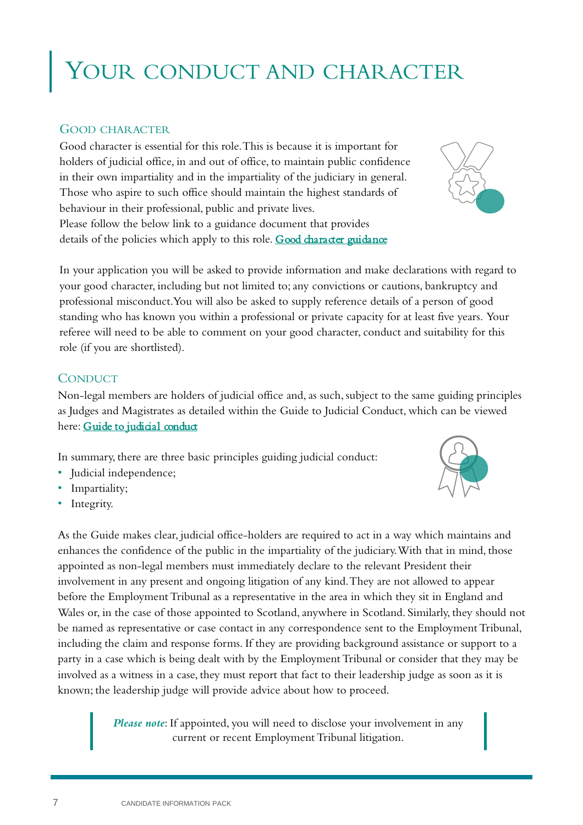## YOUR CONDUCT AND CHARACTER

## GOOD CHARACTER

Good character is essential for this role. This is because it is important for holders of judicial office, in and out of office, to maintain public confidence in their own impartiality and in the impartiality of the judiciary in general. Those who aspire to such office should maintain the highest standards of behaviour in their professional, public and private lives. Please follow the below link to a guidance document that provides details of the policies which apply to this role. Good character guidance

In your application you will be asked to provide information and make declarations with regard to your good character, including but not limited to; any convictions or cautions, bankruptcy and professional misconduct. You will also be asked to supply reference details of a person of good standing who has known you within a professional or private capacity for at least five years. Your referee will need to be able to comment on your good character, conduct and suitability for this role (if you are shortlisted).

### **CONDUCT**

Non-legal members are holders of judicial office and, as such, subject to the same guiding principles as Judges and Magistrates as detailed within the Guide to Judicial Conduct, which can be viewed here: [Guide to judicial conduct](https://www.judiciary.uk/publications/guide-to-judicial-conduct/)

In summary, there are three basic principles guiding judicial conduct:

- Judicial independence;
- Impartiality;
- Integrity.

As the Guide makes clear, judicial office-holders are required to act in a way which maintains and enhances the confidence of the public in the impartiality of the judiciary. With that in mind, those appointed as non-legal members must immediately declare to the relevant President their involvement in any present and ongoing litigation of any kind. They are not allowed to appear before the Employment Tribunal as a representative in the area in which they sit in England and Wales or, in the case of those appointed to Scotland, anywhere in Scotland. Similarly, they should not be named as representative or case contact in any correspondence sent to the Employment Tribunal, including the claim and response forms. If they are providing background assistance or support to a party in a case which is being dealt with by the Employment Tribunal or consider that they may be involved as a witness in a case, they must report that fact to their leadership judge as soon as it is known; the leadership judge will provide advice about how to proceed.

> *Please note*: If appointed, you will need to disclose your involvement in any current or recent Employment Tribunal litigation.



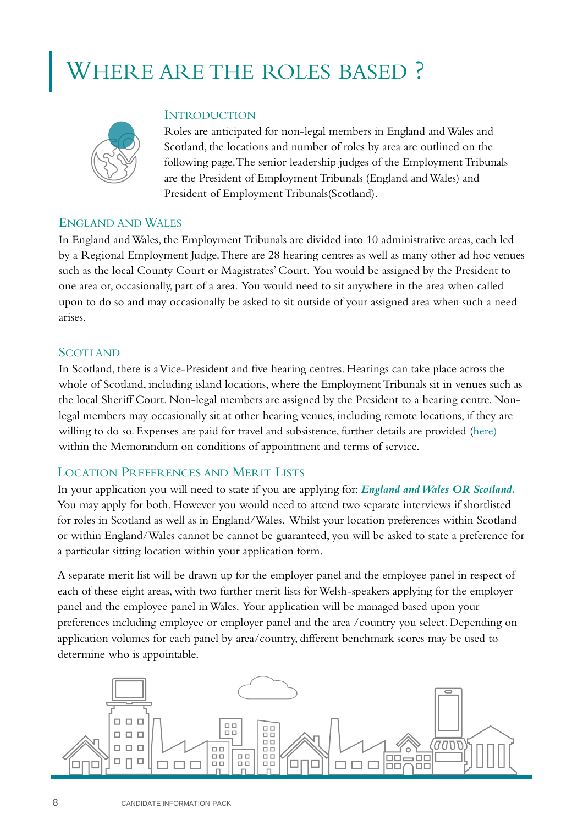## HERE ARE THE ROLES BASED?



### **INTRODUCTION**

Roles are anticipated for non-legal members in England and Wales and Scotland, the locations and number of roles by area are outlined on the following page. The senior leadership judges of the Employment Tribunals are the President of Employment Tribunals (England and Wales) and President of Employment Tribunals(Scotland).

### ENGLAND AND WALES

In England and Wales, the Employment Tribunals are divided into 10 administrative areas, each led by a Regional Employment Judge. There are 28 hearing centres as well as many other ad hoc venues such as the local County Court or Magistrates' Court. You would be assigned by the President to one area or, occasionally, part of a area. You would need to sit anywhere in the area when called upon to do so and may occasionally be asked to sit outside of your assigned area when such a need arises.

### **SCOTLAND**

In Scotland, there is a Vice-President and five hearing centres. Hearings can take place across the whole of Scotland, including island locations, where the Employment Tribunals sit in venues such as the local Sheriff Court. Non-legal members are assigned by the President to a hearing centre. Nonlegal members may occasionally sit at other hearing venues, including remote locations, if they are willing to do so. Expenses are paid for travel and subsistence, further details are provided [\(here\)](http://etnlm.resourcing-support.co.uk/) within the Memorandum on conditions of appointment and terms of service.

## LOCATION PREFERENCES AND MERIT LISTS

In your application you will need to state if you are applying for: *England and Wales OR Scotland.*  You may apply for both. However you would need to attend two separate interviews if shortlisted for roles in Scotland as well as in England/Wales. Whilst your location preferences within Scotland or within England/Wales cannot be cannot be guaranteed, you will be asked to state a preference for a particular sitting location within your application form.

A separate merit list will be drawn up for the employer panel and the employee panel in respect of each of these eight areas, with two further merit lists for Welsh-speakers applying for the employer panel and the employee panel in Wales. Your application will be managed based upon your preferences including employee or employer panel and the area /country you select. Depending on application volumes for each panel by area/country, different benchmark scores may be used to determine who is appointable.

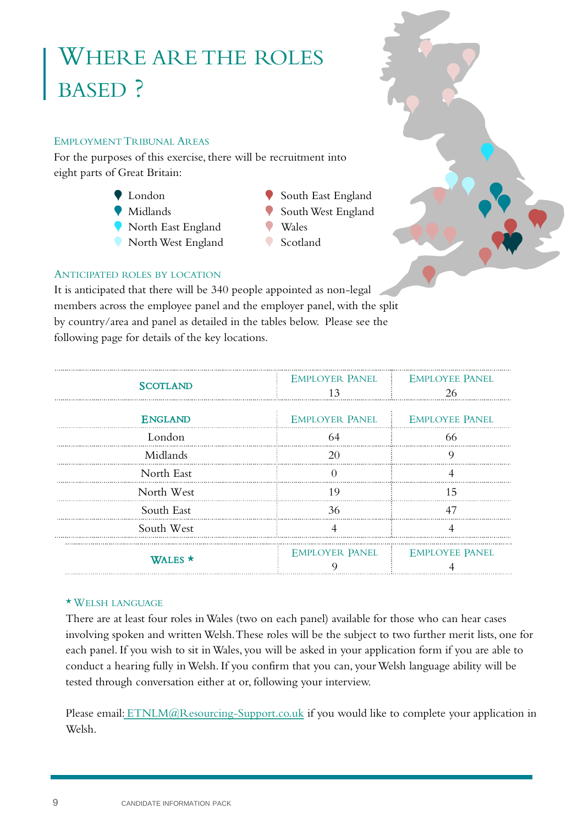## WHERE ARE THE ROLES BASED ?

### EMPLOYMENT TRIBUNAL AREAS

For the purposes of this exercise, there will be recruitment into eight parts of Great Britain:

- London
- Midlands
- North East England
- North West England
- South East England • South West England
- Wales
- Scotland



## ANTICIPATED ROLES BY LOCATION

It is anticipated that there will be 340 people appointed as non-legal members across the employee panel and the employer panel, with the split by country/area and panel as detailed in the tables below. Please see the following page for details of the key locations.

| <b>SCOTLAND</b> |     | EMPLOYER PANEL : EMPLOYEE PANEL<br>26 |
|-----------------|-----|---------------------------------------|
| <b>ENGLAND</b>  |     | EMPLOYER PANEL : EMPLOYEE PANEL       |
| London          | 64  | 66                                    |
| Midlands        |     |                                       |
| North East      |     |                                       |
| North West      | 1 Q | 15                                    |
| South East      | 36  |                                       |
| South West      |     |                                       |
| WALES *         |     | EMPLOYER PANEL : EMPLOYEE PANEL       |

### \* WELSH LANGUAGE

There are at least four roles in Wales (two on each panel) available for those who can hear cases involving spoken and written Welsh. These roles will be the subject to two further merit lists, one for each panel. If you wish to sit in Wales, you will be asked in your application form if you are able to conduct a hearing fully in Welsh. If you confirm that you can, your Welsh language ability will be tested through conversation either at or, following your interview.

Please email: [ETNLM@Resourcing-Support.co.uk](mailto:ETNLM@Resourcing-Support.co.uk) if you would like to complete your application in Welsh.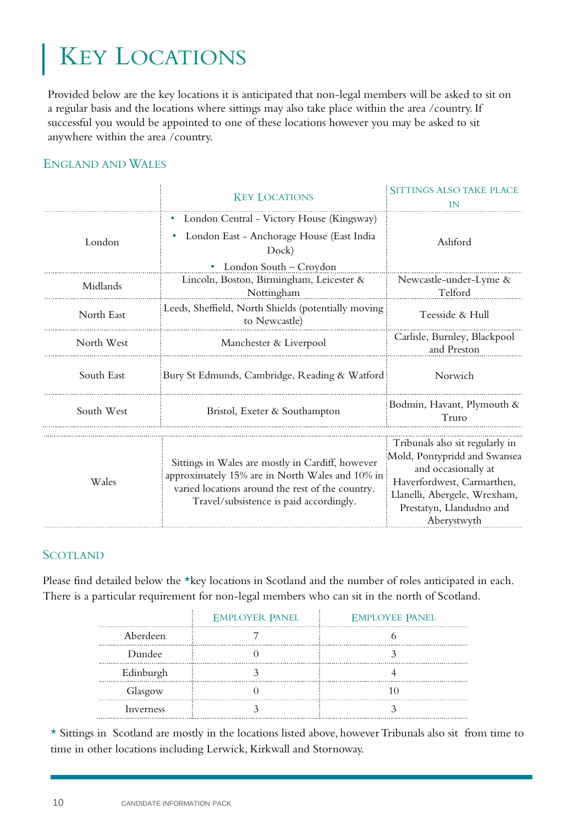## KEY LOCATIONS

Provided below are the key locations it is anticipated that non-legal members will be asked to sit on a regular basis and the locations where sittings may also take place within the area /country. If successful you would be appointed to one of these locations however you may be asked to sit anywhere within the area /country.

## ENGLAND AND WALES

|            | <b>KEY LOCATIONS</b>                                                                                                                                                                               | <b>SITTINGS ALSO TAKE PLACE</b>                                                                                                                                                                 |
|------------|----------------------------------------------------------------------------------------------------------------------------------------------------------------------------------------------------|-------------------------------------------------------------------------------------------------------------------------------------------------------------------------------------------------|
| London     | London Central - Victory House (Kingsway)<br>London East - Anchorage House (East India<br>Dock)<br>London South – Croydon                                                                          | Ashford                                                                                                                                                                                         |
| Midlands   | Lincoln, Boston, Birmingham, Leicester &<br>Nottingham                                                                                                                                             | Newcastle-under-Lyme &<br>Telford                                                                                                                                                               |
| North East | Leeds, Sheffield, North Shields (potentially moving<br>to Newcastle)                                                                                                                               | Teesside & Hull                                                                                                                                                                                 |
| North West | Manchester & Liverpool                                                                                                                                                                             | Carlisle, Burnley, Blackpool<br>and Preston                                                                                                                                                     |
| South East | Bury St Edmunds, Cambridge, Reading & Watford                                                                                                                                                      | Norwich                                                                                                                                                                                         |
| South West | Bristol, Exeter & Southampton                                                                                                                                                                      | Bodmin, Havant, Plymouth &<br>Truro                                                                                                                                                             |
| Wales      | Sittings in Wales are mostly in Cardiff, however<br>approximately 15% are in North Wales and 10% in<br>varied locations around the rest of the country.<br>Travel/subsistence is paid accordingly. | Tribunals also sit regularly in<br>Mold, Pontypridd and Swansea<br>and occasionally at<br>Haverfordwest, Carmarthen,<br>Llanelli, Abergele, Wrexham,<br>Prestatyn, Llandudno and<br>Aberystwyth |

## **SCOTLAND**

Please find detailed below the \*key locations in Scotland and the number of roles anticipated in each. There is a particular requirement for non-legal members who can sit in the north of Scotland.

|           | <b>EMPLOYER PANEL</b> | <b>EMPLOYEE PANEL</b> |
|-----------|-----------------------|-----------------------|
| Aberdeen  |                       |                       |
| Dundee    |                       |                       |
| Edinburgh |                       |                       |
| Glasgow   |                       |                       |
| Inverness |                       |                       |

\* Sittings in Scotland are mostly in the locations listed above, however Tribunals also sit from time to time in other locations including Lerwick, Kirkwall and Stornoway.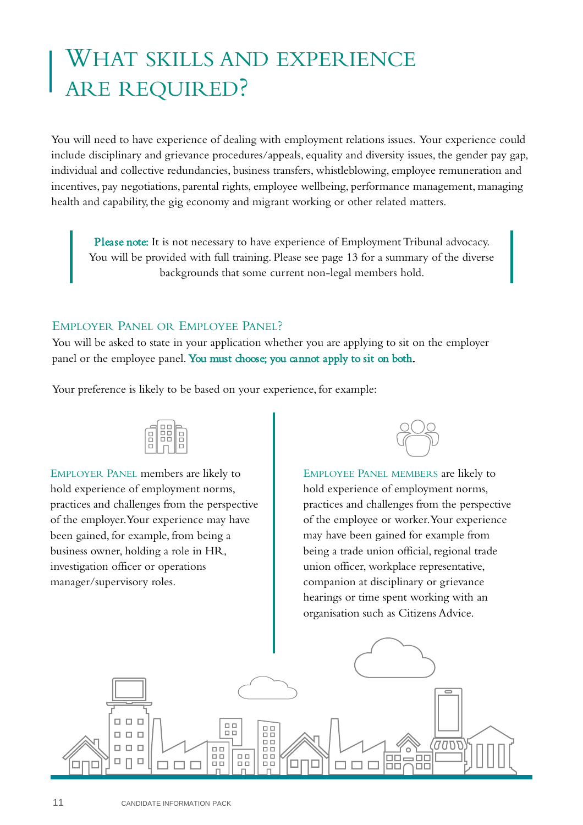## WHAT SKILLS AND EXPERIENCE ARE REQUIRED?

You will need to have experience of dealing with employment relations issues. Your experience could include disciplinary and grievance procedures/appeals, equality and diversity issues, the gender pay gap, individual and collective redundancies, business transfers, whistleblowing, employee remuneration and incentives, pay negotiations, parental rights, employee wellbeing, performance management, managing health and capability, the gig economy and migrant working or other related matters.

Please note: It is not necessary to have experience of Employment Tribunal advocacy. You will be provided with full training. Please see page 13 for a summary of the diverse backgrounds that some current non-legal members hold.

## EMPLOYER PANEL OR EMPLOYEE PANEL?

You will be asked to state in your application whether you are applying to sit on the employer panel or the employee panel. You must choose; you cannot apply to sit on both.

Your preference is likely to be based on your experience, for example:



EMPLOYER PANEL members are likely to hold experience of employment norms, practices and challenges from the perspective of the employer. Your experience may have been gained, for example, from being a business owner, holding a role in HR, investigation officer or operations manager/supervisory roles.



EMPLOYEE PANEL MEMBERS are likely to hold experience of employment norms, practices and challenges from the perspective of the employee or worker. Your experience may have been gained for example from being a trade union official, regional trade union officer, workplace representative, companion at disciplinary or grievance hearings or time spent working with an organisation such as Citizens Advice.

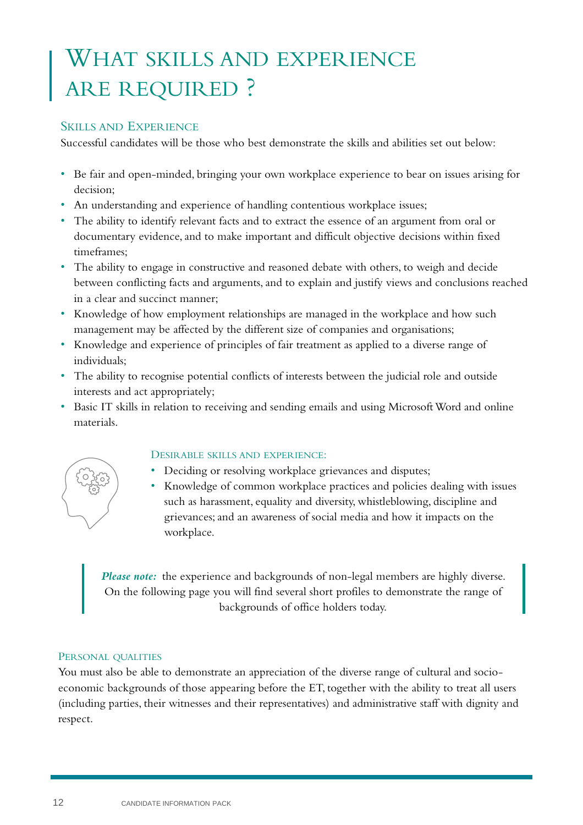## WHAT SKILLS AND EXPERIENCE ARE REQUIRED ?

## SKILLS AND EXPERIENCE

Successful candidates will be those who best demonstrate the skills and abilities set out below:

- Be fair and open-minded, bringing your own workplace experience to bear on issues arising for decision;
- An understanding and experience of handling contentious workplace issues;
- The ability to identify relevant facts and to extract the essence of an argument from oral or documentary evidence, and to make important and difficult objective decisions within fixed timeframes;
- The ability to engage in constructive and reasoned debate with others, to weigh and decide between conflicting facts and arguments, and to explain and justify views and conclusions reached in a clear and succinct manner;
- Knowledge of how employment relationships are managed in the workplace and how such management may be affected by the different size of companies and organisations;
- Knowledge and experience of principles of fair treatment as applied to a diverse range of individuals;
- The ability to recognise potential conflicts of interests between the judicial role and outside interests and act appropriately;
- Basic IT skills in relation to receiving and sending emails and using Microsoft Word and online materials.



## DESIRABLE SKILLS AND EXPERIENCE:

- Deciding or resolving workplace grievances and disputes;
- Knowledge of common workplace practices and policies dealing with issues such as harassment, equality and diversity, whistleblowing, discipline and grievances; and an awareness of social media and how it impacts on the workplace.

*Please note:* the experience and backgrounds of non-legal members are highly diverse. On the following page you will find several short profiles to demonstrate the range of backgrounds of office holders today.

## PERSONAL QUALITIES

You must also be able to demonstrate an appreciation of the diverse range of cultural and socioeconomic backgrounds of those appearing before the ET, together with the ability to treat all users (including parties, their witnesses and their representatives) and administrative staff with dignity and respect.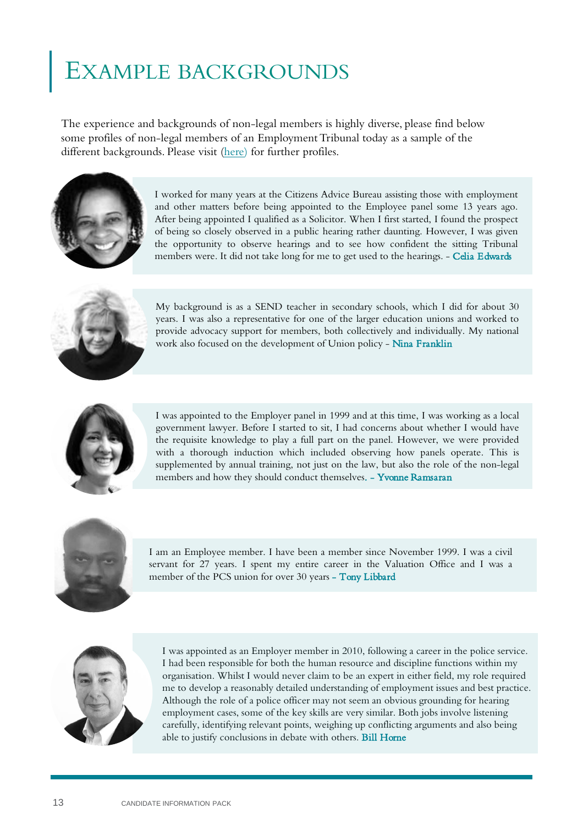## **KAMPLE BACKGROUNDS**

The experience and backgrounds of non-legal members is highly diverse, please find below some profiles of non-legal members of an Employment Tribunal today as a sample of the different backgrounds. Please visit ([here](http://etnlm.resourcing-support.co.uk/)) for further profiles.



I worked for many years at the Citizens Advice Bureau assisting those with employment and other matters before being appointed to the Employee panel some 13 years ago. After being appointed I qualified as a Solicitor. When I first started, I found the prospect of being so closely observed in a public hearing rather daunting. However, I was given the opportunity to observe hearings and to see how confident the sitting Tribunal members were. It did not take long for me to get used to the hearings. - Celia Edwards



My background is as a SEND teacher in secondary schools, which I did for about 30 years. I was also a representative for one of the larger education unions and worked to provide advocacy support for members, both collectively and individually. My national work also focused on the development of Union policy - Nina Franklin



I was appointed to the Employer panel in 1999 and at this time, I was working as a local government lawyer. Before I started to sit, I had concerns about whether I would have the requisite knowledge to play a full part on the panel. However, we were provided with a thorough induction which included observing how panels operate. This is supplemented by annual training, not just on the law, but also the role of the non-legal members and how they should conduct themselves. - Yvonne Ramsaran



I am an Employee member. I have been a member since November 1999. I was a civil servant for 27 years. I spent my entire career in the Valuation Office and I was a member of the PCS union for over 30 years - Tony Libbard



I was appointed as an Employer member in 2010, following a career in the police service. I had been responsible for both the human resource and discipline functions within my organisation. Whilst I would never claim to be an expert in either field, my role required me to develop a reasonably detailed understanding of employment issues and best practice. Although the role of a police officer may not seem an obvious grounding for hearing employment cases, some of the key skills are very similar. Both jobs involve listening carefully, identifying relevant points, weighing up conflicting arguments and also being able to justify conclusions in debate with others. Bill Horne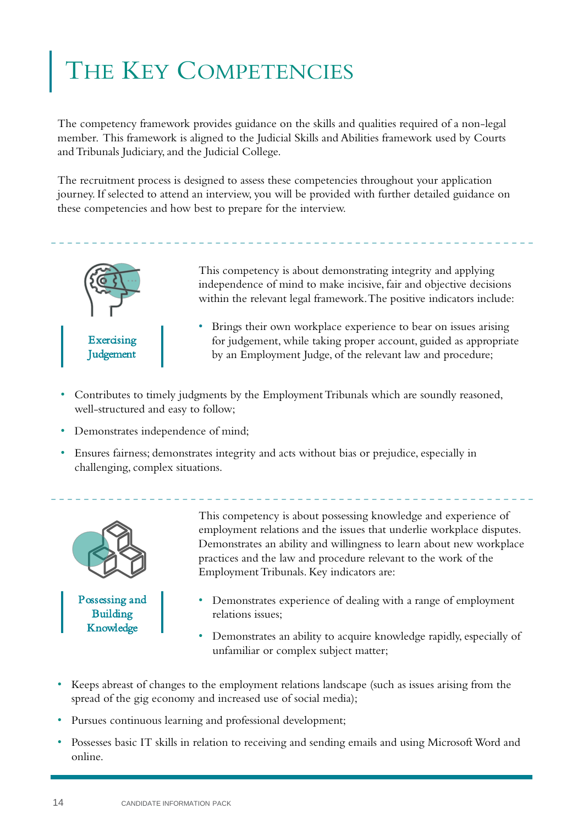## HE KEY COMPETENCIES

The competency framework provides guidance on the skills and qualities required of a non-legal member. This framework is aligned to the Judicial Skills and Abilities framework used by Courts and Tribunals Judiciary, and the Judicial College.

The recruitment process is designed to assess these competencies throughout your application journey. If selected to attend an interview, you will be provided with further detailed guidance on these competencies and how best to prepare for the interview.



This competency is about demonstrating integrity and applying independence of mind to make incisive, fair and objective decisions within the relevant legal framework. The positive indicators include:

- Brings their own workplace experience to bear on issues arising for judgement, while taking proper account, guided as appropriate by an Employment Judge, of the relevant law and procedure;
- Contributes to timely judgments by the Employment Tribunals which are soundly reasoned, well-structured and easy to follow;
- Demonstrates independence of mind;
- Ensures fairness; demonstrates integrity and acts without bias or prejudice, especially in challenging, complex situations.



Possessing and Building Knowledge

This competency is about possessing knowledge and experience of employment relations and the issues that underlie workplace disputes. Demonstrates an ability and willingness to learn about new workplace practices and the law and procedure relevant to the work of the Employment Tribunals. Key indicators are:

- Demonstrates experience of dealing with a range of employment relations issues;
- Demonstrates an ability to acquire knowledge rapidly, especially of unfamiliar or complex subject matter;
- Keeps abreast of changes to the employment relations landscape (such as issues arising from the spread of the gig economy and increased use of social media);
- Pursues continuous learning and professional development;
- Possesses basic IT skills in relation to receiving and sending emails and using Microsoft Word and online.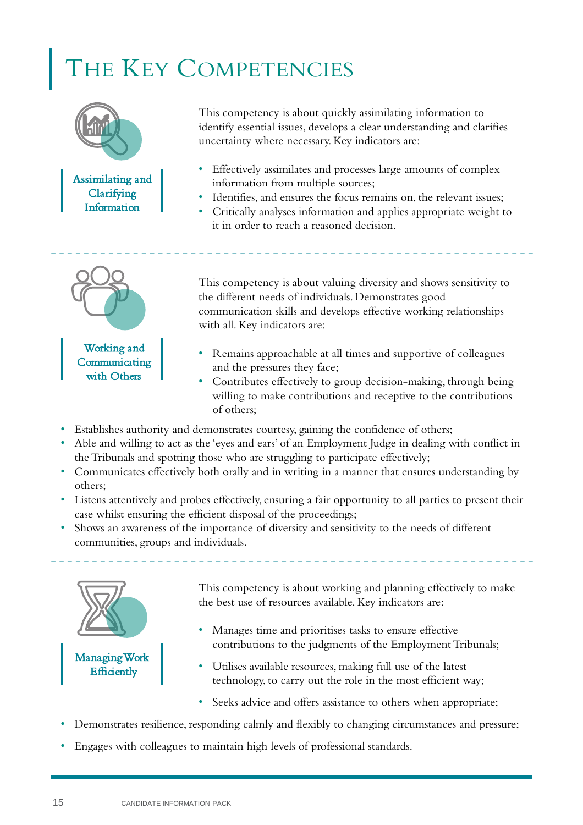## HE KEY COMPETENCIES



This competency is about quickly assimilating information to identify essential issues, develops a clear understanding and clarifies uncertainty where necessary. Key indicators are:

- Effectively assimilates and processes large amounts of complex information from multiple sources;
- Identifies, and ensures the focus remains on, the relevant issues;
- Critically analyses information and applies appropriate weight to it in order to reach a reasoned decision.



This competency is about valuing diversity and shows sensitivity to the different needs of individuals. Demonstrates good communication skills and develops effective working relationships with all. Key indicators are:

- Remains approachable at all times and supportive of colleagues and the pressures they face;
- Contributes effectively to group decision-making, through being willing to make contributions and receptive to the contributions of others;
- Establishes authority and demonstrates courtesy, gaining the confidence of others;
- Able and willing to act as the 'eyes and ears' of an Employment Judge in dealing with conflict in the Tribunals and spotting those who are struggling to participate effectively;
- Communicates effectively both orally and in writing in a manner that ensures understanding by others;
- Listens attentively and probes effectively, ensuring a fair opportunity to all parties to present their case whilst ensuring the efficient disposal of the proceedings;
- Shows an awareness of the importance of diversity and sensitivity to the needs of different communities, groups and individuals.



This competency is about working and planning effectively to make the best use of resources available. Key indicators are:

- Manages time and prioritises tasks to ensure effective contributions to the judgments of the Employment Tribunals;
- Utilises available resources, making full use of the latest technology, to carry out the role in the most efficient way;
- Seeks advice and offers assistance to others when appropriate;
- Demonstrates resilience, responding calmly and flexibly to changing circumstances and pressure;
- Engages with colleagues to maintain high levels of professional standards.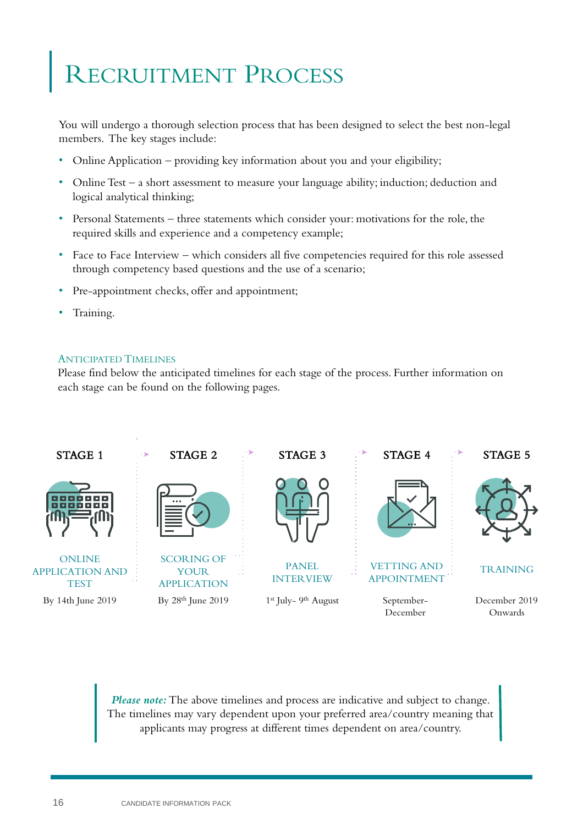## **ECRUITMENT PROCESS**

You will undergo a thorough selection process that has been designed to select the best non-legal members. The key stages include:

- Online Application providing key information about you and your eligibility;
- Online Test a short assessment to measure your language ability; induction; deduction and logical analytical thinking;
- Personal Statements three statements which consider your: motivations for the role, the required skills and experience and a competency example;
- Face to Face Interview which considers all five competencies required for this role assessed through competency based questions and the use of a scenario;
- Pre-appointment checks, offer and appointment;
- Training.

### ANTICIPATED TIMELINES

Please find below the anticipated timelines for each stage of the process. Further information on each stage can be found on the following pages.



*Please note:* The above timelines and process are indicative and subject to change. The timelines may vary dependent upon your preferred area/country meaning that applicants may progress at different times dependent on area/country.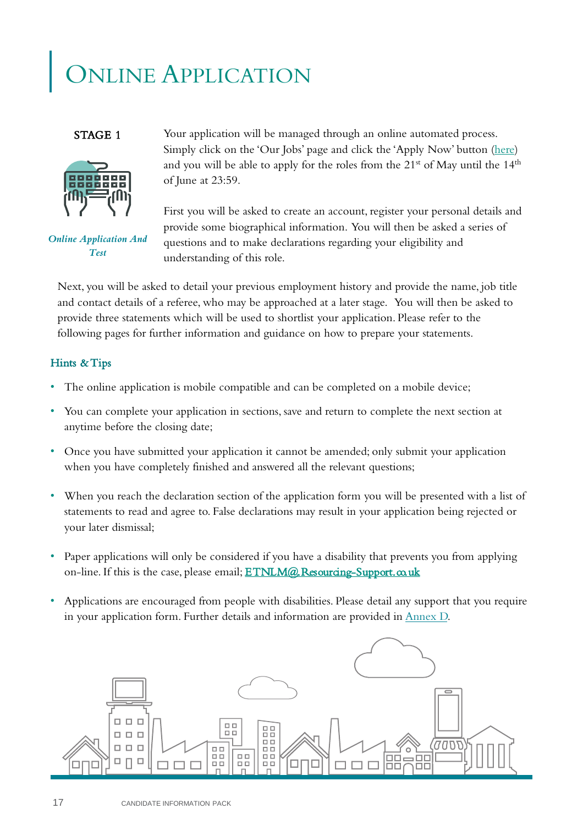## ONLINE APPLICATION

### STAGE 1



*Online Application And Test* 

Your application will be managed through an online automated process. Simply click on the 'Our Jobs' page and click the 'Apply Now' button (<here>) and you will be able to apply for the roles from the  $21<sup>st</sup>$  of May until the  $14<sup>th</sup>$ of June at 23:59.

First you will be asked to create an account, register your personal details and provide some biographical information. You will then be asked a series of questions and to make declarations regarding your eligibility and understanding of this role.

Next, you will be asked to detail your previous employment history and provide the name, job title and contact details of a referee, who may be approached at a later stage. You will then be asked to provide three statements which will be used to shortlist your application. Please refer to the following pages for further information and guidance on how to prepare your statements.

## Hints & Tips

- The online application is mobile compatible and can be completed on a mobile device;
- You can complete your application in sections, save and return to complete the next section at anytime before the closing date;
- Once you have submitted your application it cannot be amended; only submit your application when you have completely finished and answered all the relevant questions;
- When you reach the declaration section of the application form you will be presented with a list of statements to read and agree to. False declarations may result in your application being rejected or your later dismissal;
- Paper applications will only be considered if you have a disability that prevents you from applying on-line. If this is the case, please email; **ETNLM@.Resourcing-Support.co.uk**
- Applications are encouraged from people with disabilities. Please detail any support that you require in your application form. Further details and information are provided in [Annex D.](#page-28-0)

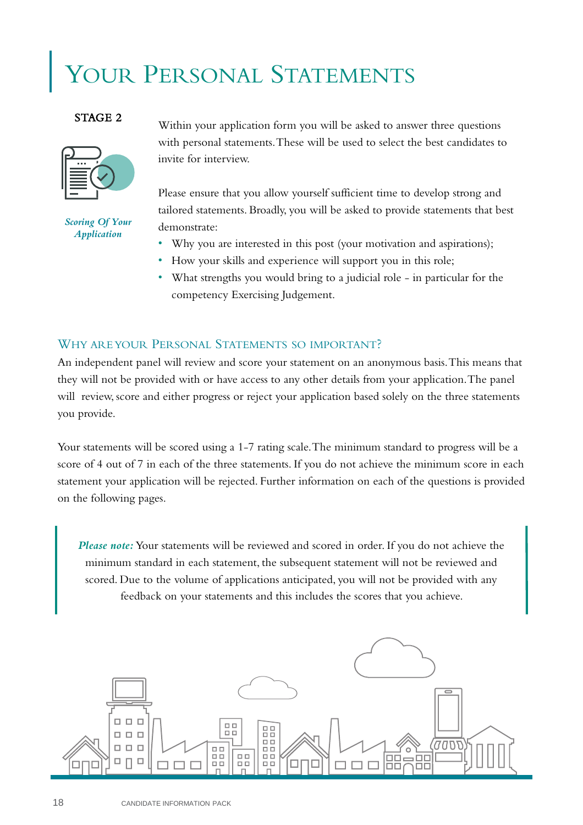## YOUR PERSONAL STATEMENTS

### STAGE 2



*Scoring Of Your Application* 

Within your application form you will be asked to answer three questions with personal statements. These will be used to select the best candidates to invite for interview.

Please ensure that you allow yourself sufficient time to develop strong and tailored statements. Broadly, you will be asked to provide statements that best demonstrate:

- Why you are interested in this post (your motivation and aspirations);
- How your skills and experience will support you in this role;
- What strengths you would bring to a judicial role in particular for the competency Exercising Judgement.

## WHY AREYOUR PERSONAL STATEMENTS SO IMPORTANT?

An independent panel will review and score your statement on an anonymous basis. This means that they will not be provided with or have access to any other details from your application. The panel will review, score and either progress or reject your application based solely on the three statements you provide.

Your statements will be scored using a 1-7 rating scale. The minimum standard to progress will be a score of 4 out of 7 in each of the three statements. If you do not achieve the minimum score in each statement your application will be rejected. Further information on each of the questions is provided on the following pages.

*Please note:* Your statements will be reviewed and scored in order. If you do not achieve the minimum standard in each statement, the subsequent statement will not be reviewed and scored. Due to the volume of applications anticipated, you will not be provided with any feedback on your statements and this includes the scores that you achieve.

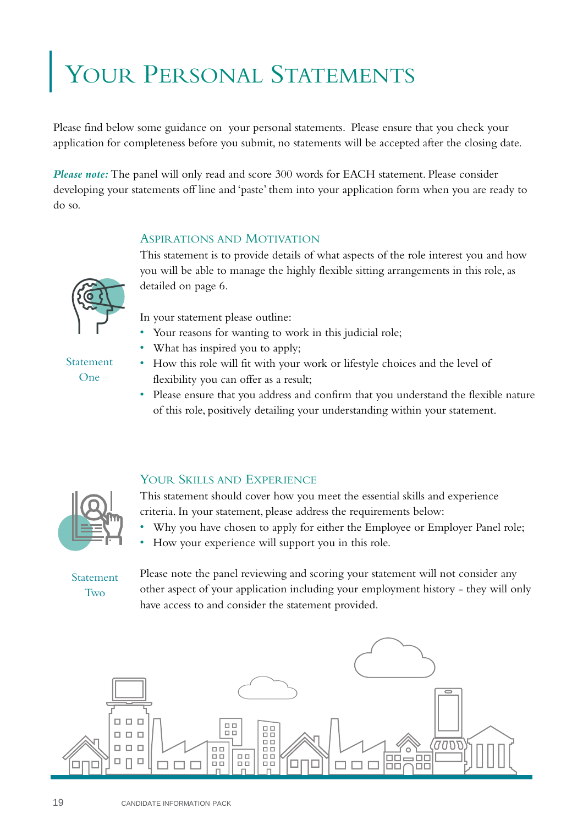## YOUR PERSONAL STATEMENTS

Please find below some guidance on your personal statements. Please ensure that you check your application for completeness before you submit, no statements will be accepted after the closing date.

*Please note:* The panel will only read and score 300 words for EACH statement. Please consider developing your statements off line and 'paste' them into your application form when you are ready to do so.

## ASPIRATIONS AND MOTIVATION

This statement is to provide details of what aspects of the role interest you and how you will be able to manage the highly flexible sitting arrangements in this role, as detailed on page 6.

In your statement please outline:

- Your reasons for wanting to work in this judicial role;
- What has inspired you to apply;
- How this role will fit with your work or lifestyle choices and the level of flexibility you can offer as a result;
- Please ensure that you address and confirm that you understand the flexible nature of this role, positively detailing your understanding within your statement.

## YOUR SKILLS AND EXPERIENCE

This statement should cover how you meet the essential skills and experience criteria. In your statement, please address the requirements below:

- Why you have chosen to apply for either the Employee or Employer Panel role;
- How your experience will support you in this role.

Statement Two

Please note the panel reviewing and scoring your statement will not consider any other aspect of your application including your employment history - they will only have access to and consider the statement provided.



Statement One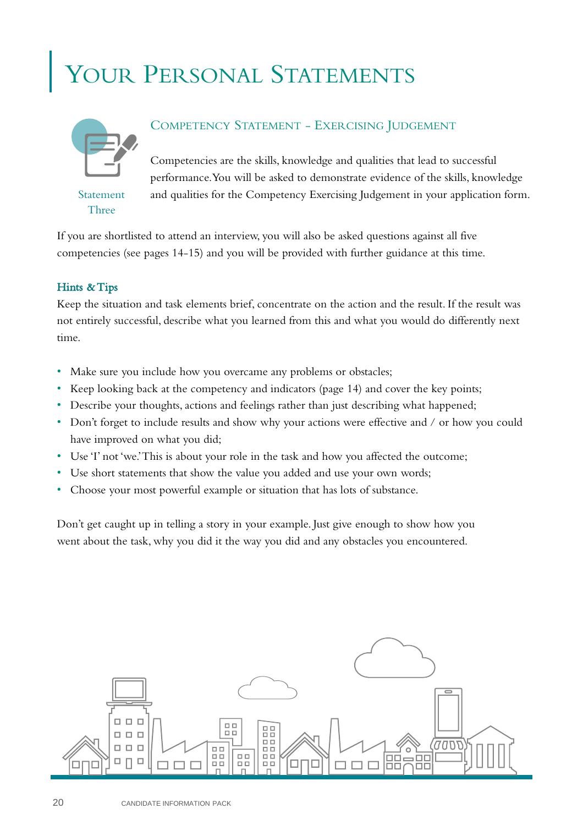## YOUR PERSONAL STATEMENTS



Statement Three

## COMPETENCY STATEMENT - EXERCISING JUDGEMENT

Competencies are the skills, knowledge and qualities that lead to successful performance. You will be asked to demonstrate evidence of the skills, knowledge and qualities for the Competency Exercising Judgement in your application form.

If you are shortlisted to attend an interview, you will also be asked questions against all five competencies (see pages 14-15) and you will be provided with further guidance at this time.

## Hints & Tips

Keep the situation and task elements brief, concentrate on the action and the result. If the result was not entirely successful, describe what you learned from this and what you would do differently next time.

- Make sure you include how you overcame any problems or obstacles;
- Keep looking back at the competency and indicators (page 14) and cover the key points;
- Describe your thoughts, actions and feelings rather than just describing what happened;
- Don't forget to include results and show why your actions were effective and / or how you could have improved on what you did;
- Use 'I' not 'we.' This is about your role in the task and how you affected the outcome;
- Use short statements that show the value you added and use your own words;
- Choose your most powerful example or situation that has lots of substance.

Don't get caught up in telling a story in your example. Just give enough to show how you went about the task, why you did it the way you did and any obstacles you encountered.

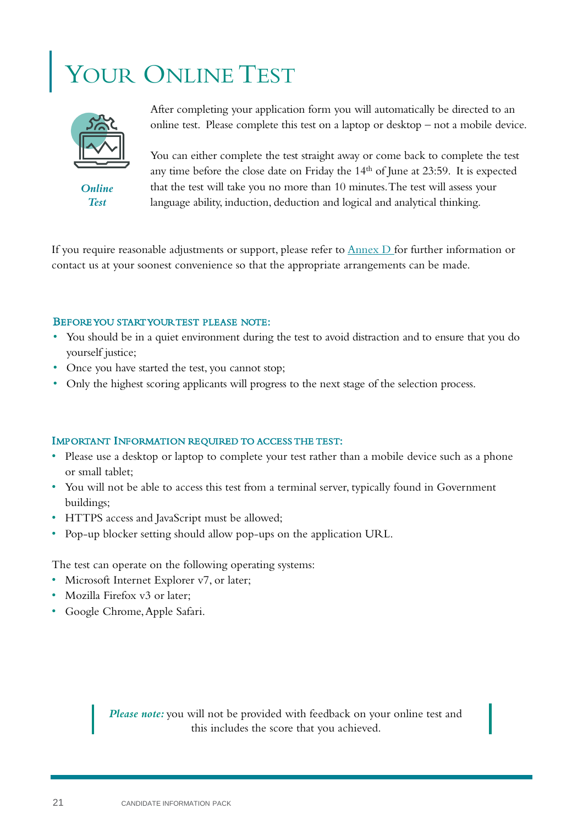## YOUR ONLINE TEST



*Online Test* 

After completing your application form you will automatically be directed to an online test. Please complete this test on a laptop or desktop – not a mobile device.

You can either complete the test straight away or come back to complete the test any time before the close date on Friday the 14th of June at 23:59. It is expected that the test will take you no more than 10 minutes. The test will assess your language ability, induction, deduction and logical and analytical thinking.

If you require reasonable adjustments or support, please refer to  $\frac{\text{Annex D}}{\text{for}}$  for further information or contact us at your soonest convenience so that the appropriate arrangements can be made.

### BEFORE YOU STARTYOURTEST PLEASE NOTE:

- You should be in a quiet environment during the test to avoid distraction and to ensure that you do yourself justice;
- Once you have started the test, you cannot stop;
- Only the highest scoring applicants will progress to the next stage of the selection process.

### IMPORTANT INFORMATION REQUIRED TO ACCESS THE TEST:

- Please use a desktop or laptop to complete your test rather than a mobile device such as a phone or small tablet;
- You will not be able to access this test from a terminal server, typically found in Government buildings;
- HTTPS access and JavaScript must be allowed;
- Pop-up blocker setting should allow pop-ups on the application URL.

The test can operate on the following operating systems:

- Microsoft Internet Explorer v7, or later;
- Mozilla Firefox v3 or later:
- Google Chrome, Apple Safari.

*Please note:* you will not be provided with feedback on your online test and this includes the score that you achieved.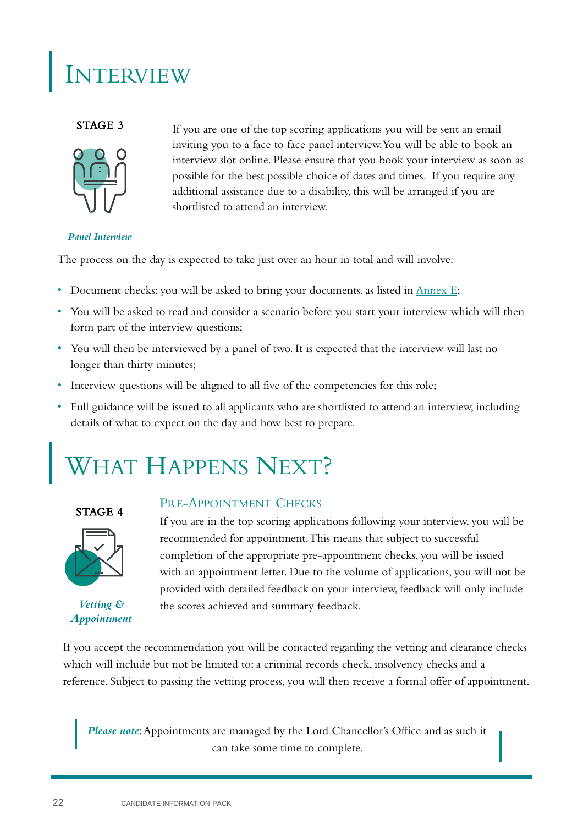## INTERVIEW

### STAGE 3



If you are one of the top scoring applications you will be sent an email inviting you to a face to face panel interview. You will be able to book an interview slot online. Please ensure that you book your interview as soon as possible for the best possible choice of dates and times. If you require any additional assistance due to a disability, this will be arranged if you are shortlisted to attend an interview.

### *Panel Interview*

The process on the day is expected to take just over an hour in total and will involve:

- Document checks: you will be asked to bring your documents, as listed in  $\triangle$ nnex E;
- You will be asked to read and consider a scenario before you start your interview which will then form part of the interview questions;
- You will then be interviewed by a panel of two. It is expected that the interview will last no longer than thirty minutes;
- Interview questions will be aligned to all five of the competencies for this role;
- Full guidance will be issued to all applicants who are shortlisted to attend an interview, including details of what to expect on the day and how best to prepare.

## WHAT HAPPENS NEXT?

## STAGE 4



*Vetting & Appointment* 

## PRE-APPOINTMENT CHECKS

If you are in the top scoring applications following your interview, you will be recommended for appointment. This means that subject to successful completion of the appropriate pre-appointment checks, you will be issued with an appointment letter. Due to the volume of applications, you will not be provided with detailed feedback on your interview, feedback will only include the scores achieved and summary feedback.

If you accept the recommendation you will be contacted regarding the vetting and clearance checks which will include but not be limited to: a criminal records check, insolvency checks and a reference. Subject to passing the vetting process, you will then receive a formal offer of appointment.

*Please note*: Appointments are managed by the Lord Chancellor's Office and as such it can take some time to complete.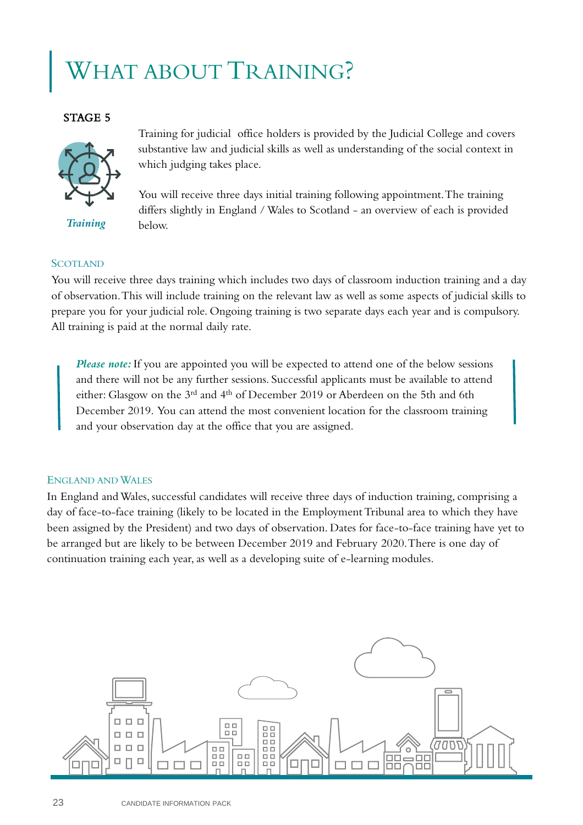## HAT ABOUT TRAINING?

## STAGE 5



*Training*

Training for judicial office holders is provided by the Judicial College and covers substantive law and judicial skills as well as understanding of the social context in which judging takes place.

You will receive three days initial training following appointment. The training differs slightly in England / Wales to Scotland - an overview of each is provided below.

### **SCOTLAND**

You will receive three days training which includes two days of classroom induction training and a day of observation. This will include training on the relevant law as well as some aspects of judicial skills to prepare you for your judicial role. Ongoing training is two separate days each year and is compulsory. All training is paid at the normal daily rate.

*Please note:* If you are appointed you will be expected to attend one of the below sessions and there will not be any further sessions. Successful applicants must be available to attend either: Glasgow on the 3<sup>rd</sup> and 4<sup>th</sup> of December 2019 or Aberdeen on the 5th and 6th December 2019. You can attend the most convenient location for the classroom training and your observation day at the office that you are assigned.

### ENGLAND AND WALES

In England and Wales, successful candidates will receive three days of induction training, comprising a day of face-to-face training (likely to be located in the Employment Tribunal area to which they have been assigned by the President) and two days of observation. Dates for face-to-face training have yet to be arranged but are likely to be between December 2019 and February 2020. There is one day of continuation training each year, as well as a developing suite of e-learning modules.

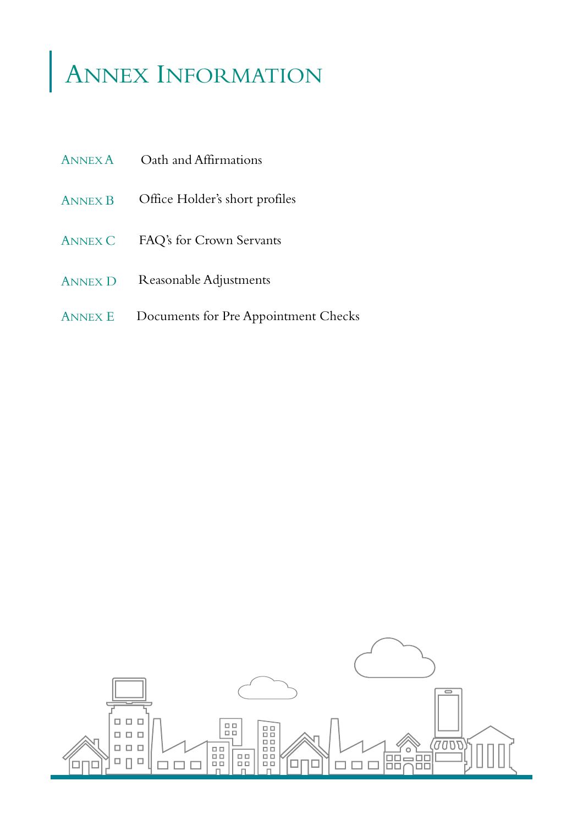## ANNEX INFORMATION

- ANNEX B Office Holder's short profiles
- ANNEX C FAQ's for Crown Servants
- Reasonable Adjustments ANNEX D
- Documents for Pre Appointment Checks ANNEX E

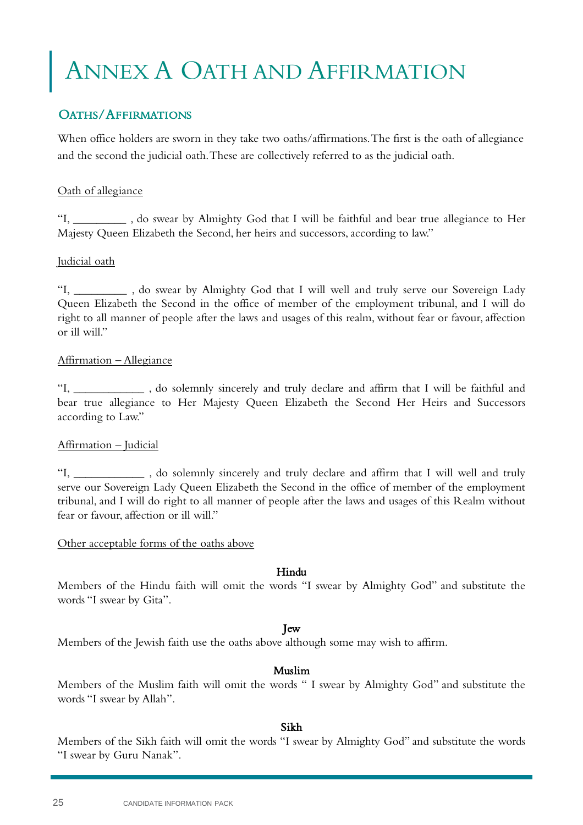## <span id="page-24-0"></span>ANNEX A OATH AND AFFIRMATION

## OATHS/AFFIRMATIONS

When office holders are sworn in they take two oaths/affirmations. The first is the oath of allegiance and the second the judicial oath. These are collectively referred to as the judicial oath.

### Oath of allegiance

"I, \_\_\_\_\_\_\_\_\_ , do swear by Almighty God that I will be faithful and bear true allegiance to Her Majesty Queen Elizabeth the Second, her heirs and successors, according to law."

### Judicial oath

"I, \_\_\_\_\_\_\_\_\_ , do swear by Almighty God that I will well and truly serve our Sovereign Lady Queen Elizabeth the Second in the office of member of the employment tribunal, and I will do right to all manner of people after the laws and usages of this realm, without fear or favour, affection or ill will."

### Affirmation – Allegiance

"I, \_\_\_\_\_\_\_\_\_\_\_\_ , do solemnly sincerely and truly declare and affirm that I will be faithful and bear true allegiance to Her Majesty Queen Elizabeth the Second Her Heirs and Successors according to Law."

## Affirmation – Judicial

"I, \_\_\_\_\_\_\_\_\_\_\_\_ , do solemnly sincerely and truly declare and affirm that I will well and truly serve our Sovereign Lady Queen Elizabeth the Second in the office of member of the employment tribunal, and I will do right to all manner of people after the laws and usages of this Realm without fear or favour, affection or ill will."

### Other acceptable forms of the oaths above

### Hindu

Members of the Hindu faith will omit the words "I swear by Almighty God" and substitute the words "I swear by Gita".

### Jew

Members of the Jewish faith use the oaths above although some may wish to affirm.

### Muslim

Members of the Muslim faith will omit the words " I swear by Almighty God" and substitute the words "I swear by Allah".

### Sikh

Members of the Sikh faith will omit the words "I swear by Almighty God" and substitute the words "I swear by Guru Nanak".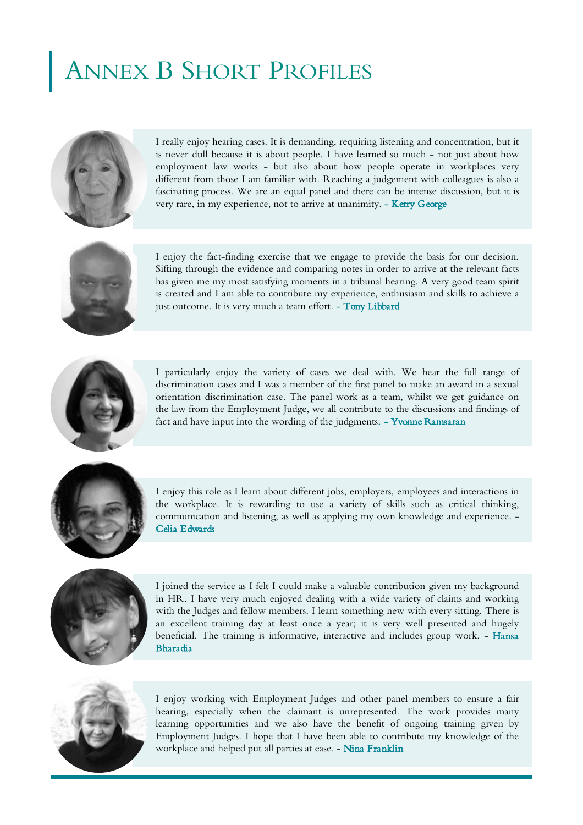## <span id="page-25-0"></span>ANNEX B SHORT PROFILES



I really enjoy hearing cases. It is demanding, requiring listening and concentration, but it is never dull because it is about people. I have learned so much - not just about how employment law works - but also about how people operate in workplaces very different from those I am familiar with. Reaching a judgement with colleagues is also a fascinating process. We are an equal panel and there can be intense discussion, but it is very rare, in my experience, not to arrive at unanimity. - Kerry George



I enjoy the fact-finding exercise that we engage to provide the basis for our decision. Sifting through the evidence and comparing notes in order to arrive at the relevant facts has given me my most satisfying moments in a tribunal hearing. A very good team spirit is created and I am able to contribute my experience, enthusiasm and skills to achieve a just outcome. It is very much a team effort. - Tony Libbard



I particularly enjoy the variety of cases we deal with. We hear the full range of discrimination cases and I was a member of the first panel to make an award in a sexual orientation discrimination case. The panel work as a team, whilst we get guidance on the law from the Employment Judge, we all contribute to the discussions and findings of fact and have input into the wording of the judgments. - Yvonne Ramsaran



I enjoy this role as I learn about different jobs, employers, employees and interactions in the workplace. It is rewarding to use a variety of skills such as critical thinking, communication and listening, as well as applying my own knowledge and experience. - Celia Edwards



I joined the service as I felt I could make a valuable contribution given my background in HR. I have very much enjoyed dealing with a wide variety of claims and working with the Judges and fellow members. I learn something new with every sitting. There is an excellent training day at least once a year; it is very well presented and hugely beneficial. The training is informative, interactive and includes group work. - Hansa Bharadia



I enjoy working with Employment Judges and other panel members to ensure a fair hearing, especially when the claimant is unrepresented. The work provides many learning opportunities and we also have the benefit of ongoing training given by Employment Judges. I hope that I have been able to contribute my knowledge of the workplace and helped put all parties at ease. - Nina Franklin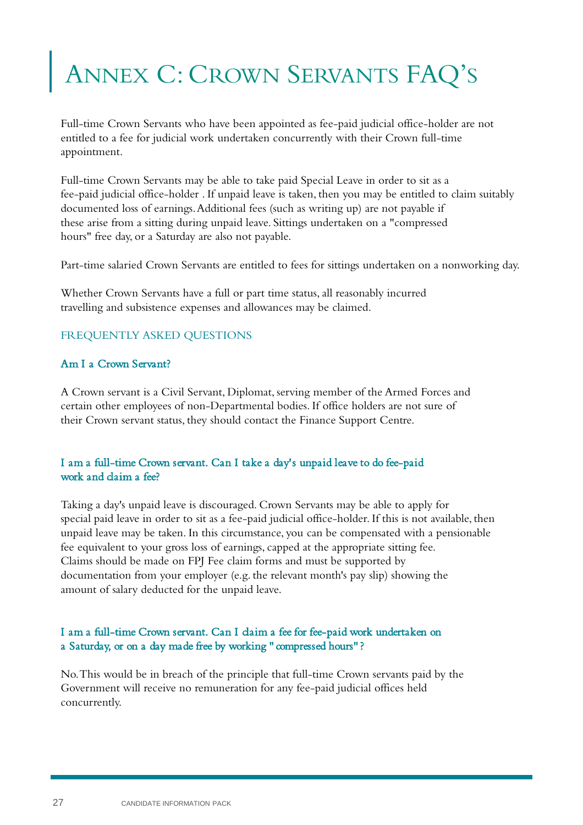## <span id="page-26-0"></span>ANNEX C: CROWN SERVANTS FAQ'S

Full-time Crown Servants who have been appointed as fee-paid judicial office-holder are not entitled to a fee for judicial work undertaken concurrently with their Crown full-time appointment.

Full-time Crown Servants may be able to take paid Special Leave in order to sit as a fee-paid judicial office-holder . If unpaid leave is taken, then you may be entitled to claim suitably documented loss of earnings. Additional fees (such as writing up) are not payable if these arise from a sitting during unpaid leave. Sittings undertaken on a "compressed hours" free day, or a Saturday are also not payable.

Part-time salaried Crown Servants are entitled to fees for sittings undertaken on a nonworking day.

Whether Crown Servants have a full or part time status, all reasonably incurred travelling and subsistence expenses and allowances may be claimed.

## FREQUENTLY ASKED QUESTIONS

## Am I a Crown Servant?

A Crown servant is a Civil Servant, Diplomat, serving member of the Armed Forces and certain other employees of non-Departmental bodies. If office holders are not sure of their Crown servant status, they should contact the Finance Support Centre.

## I am a full-time Crown servant. Can I take a day's unpaid leave to do fee-paid work and claim a fee?

Taking a day's unpaid leave is discouraged. Crown Servants may be able to apply for special paid leave in order to sit as a fee-paid judicial office-holder. If this is not available, then unpaid leave may be taken. In this circumstance, you can be compensated with a pensionable fee equivalent to your gross loss of earnings, capped at the appropriate sitting fee. Claims should be made on FPJ Fee claim forms and must be supported by documentation from your employer (e.g. the relevant month's pay slip) showing the amount of salary deducted for the unpaid leave.

### I am a full-time Crown servant. Can I claim a fee for fee-paid work undertaken on a Saturday, or on a day made free by working " compressed hours" ?

No. This would be in breach of the principle that full-time Crown servants paid by the Government will receive no remuneration for any fee-paid judicial offices held concurrently.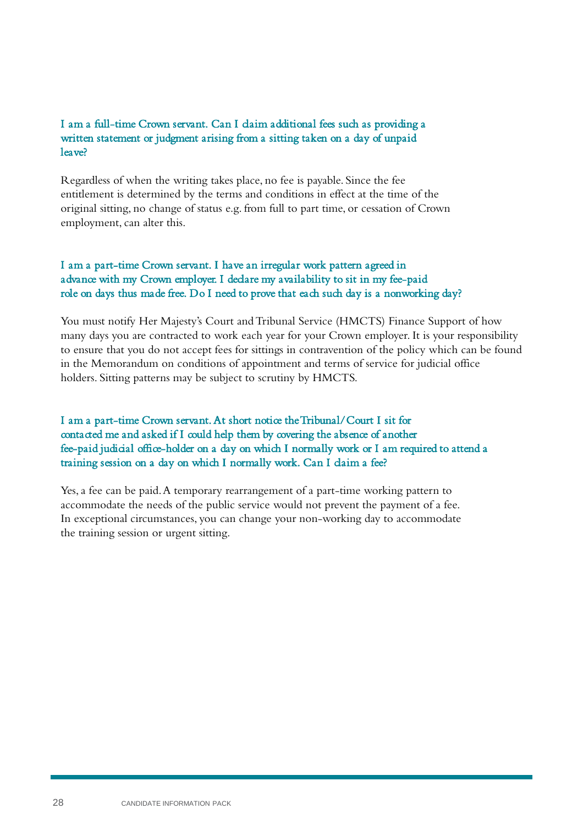### I am a full-time Crown servant. Can I claim additional fees such as providing a written statement or judgment arising from a sitting taken on a day of unpaid leave?

Regardless of when the writing takes place, no fee is payable. Since the fee entitlement is determined by the terms and conditions in effect at the time of the original sitting, no change of status e.g. from full to part time, or cessation of Crown employment, can alter this.

## I am a part-time Crown servant. I have an irregular work pattern agreed in advance with my Crown employer. I declare my availability to sit in my fee-paid role on days thus made free. Do I need to prove that each such day is a nonworking day?

You must notify Her Majesty's Court and Tribunal Service (HMCTS) Finance Support of how many days you are contracted to work each year for your Crown employer. It is your responsibility to ensure that you do not accept fees for sittings in contravention of the policy which can be found in the Memorandum on conditions of appointment and terms of service for judicial office holders. Sitting patterns may be subject to scrutiny by HMCTS.

## I am a part-time Crown servant. At short notice the Tribunal/Court I sit for contacted me and asked if I could help them by covering the absence of another fee-paid judicial office-holder on a day on which I normally work or I am required to attend a training session on a day on which I normally work. Can I daim a fee?

Yes, a fee can be paid. A temporary rearrangement of a part-time working pattern to accommodate the needs of the public service would not prevent the payment of a fee. In exceptional circumstances, you can change your non-working day to accommodate the training session or urgent sitting.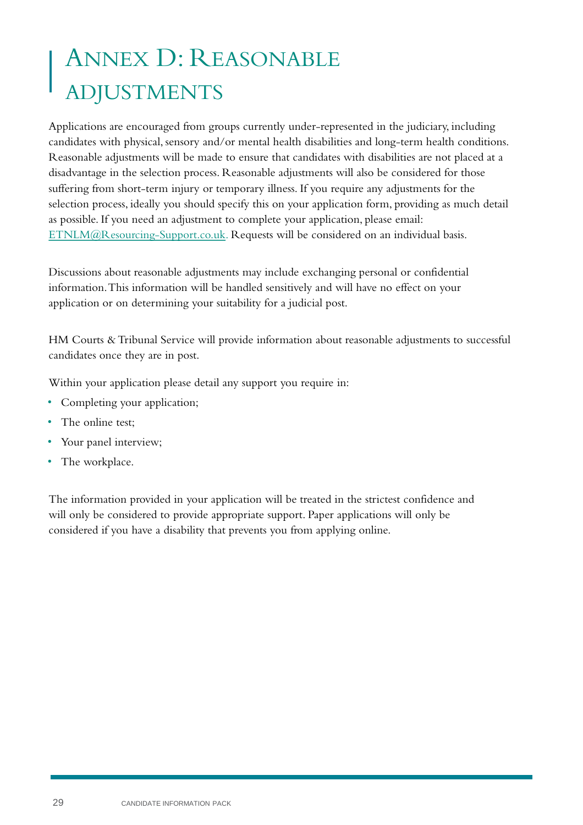## <span id="page-28-0"></span>ANNEX D: REASONABLE ADJUSTMENTS

Applications are encouraged from groups currently under-represented in the judiciary, including candidates with physical, sensory and/or mental health disabilities and long-term health conditions. Reasonable adjustments will be made to ensure that candidates with disabilities are not placed at a disadvantage in the selection process. Reasonable adjustments will also be considered for those suffering from short-term injury or temporary illness. If you require any adjustments for the selection process, ideally you should specify this on your application form, providing as much detail as possible. If you need an adjustment to complete your application, please email: [ETNLM@Resourcing-Support.co.uk](mailto:ETNLM@Resourcing-Support.co.uk). Requests will be considered on an individual basis.

Discussions about reasonable adjustments may include exchanging personal or confidential information. This information will be handled sensitively and will have no effect on your application or on determining your suitability for a judicial post.

HM Courts & Tribunal Service will provide information about reasonable adjustments to successful candidates once they are in post.

Within your application please detail any support you require in:

- Completing your application;
- The online test;
- Your panel interview;
- The workplace.

The information provided in your application will be treated in the strictest confidence and will only be considered to provide appropriate support. Paper applications will only be considered if you have a disability that prevents you from applying online.